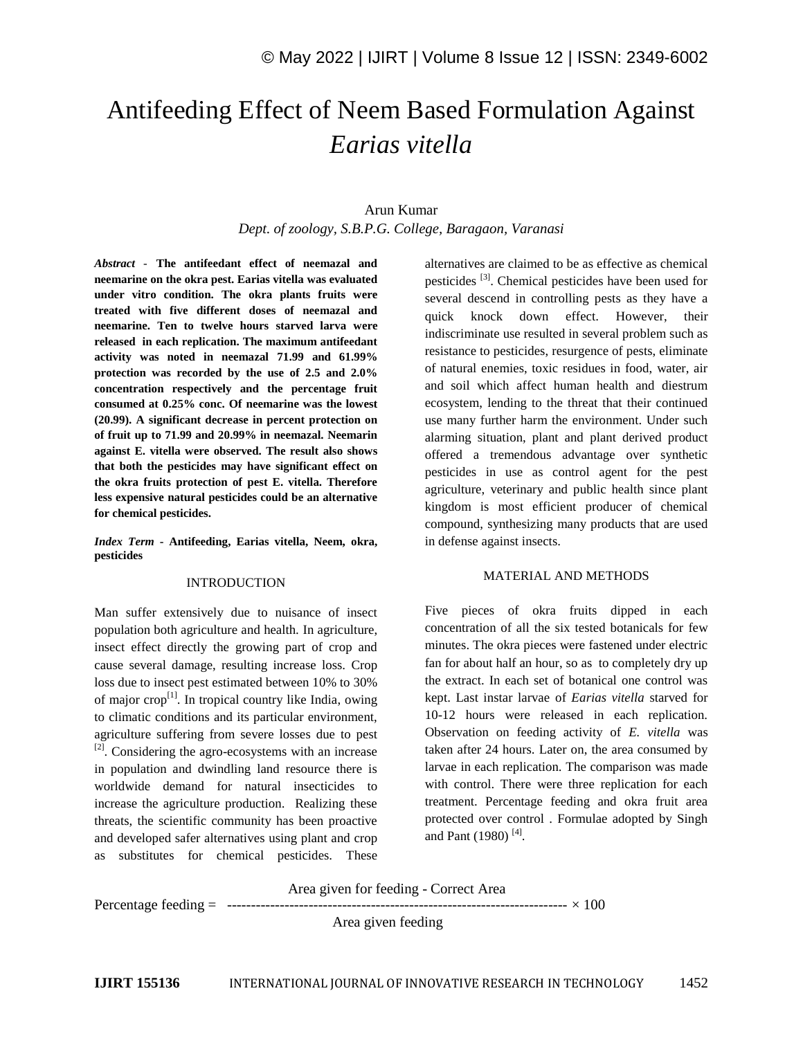# Antifeeding Effect of Neem Based Formulation Against *Earias vitella*

# Arun Kumar *Dept. of zoology, S.B.P.G. College, Baragaon, Varanasi*

*Abstract -* **The antifeedant effect of neemazal and neemarine on the okra pest. Earias vitella was evaluated under vitro condition. The okra plants fruits were treated with five different doses of neemazal and neemarine. Ten to twelve hours starved larva were released in each replication. The maximum antifeedant activity was noted in neemazal 71.99 and 61.99% protection was recorded by the use of 2.5 and 2.0% concentration respectively and the percentage fruit consumed at 0.25% conc. Of neemarine was the lowest (20.99). A significant decrease in percent protection on of fruit up to 71.99 and 20.99% in neemazal. Neemarin against E. vitella were observed. The result also shows that both the pesticides may have significant effect on the okra fruits protection of pest E. vitella. Therefore less expensive natural pesticides could be an alternative for chemical pesticides.**

*Index Term* **- Antifeeding, Earias vitella, Neem, okra, pesticides**

## INTRODUCTION

Man suffer extensively due to nuisance of insect population both agriculture and health. In agriculture, insect effect directly the growing part of crop and cause several damage, resulting increase loss. Crop loss due to insect pest estimated between 10% to 30% of major crop<sup>[1]</sup>. In tropical country like India, owing to climatic conditions and its particular environment, agriculture suffering from severe losses due to pest  $^{[2]}$ . Considering the agro-ecosystems with an increase in population and dwindling land resource there is worldwide demand for natural insecticides to increase the agriculture production. Realizing these threats, the scientific community has been proactive and developed safer alternatives using plant and crop as substitutes for chemical pesticides. These

alternatives are claimed to be as effective as chemical pesticides <sup>[3]</sup>. Chemical pesticides have been used for several descend in controlling pests as they have a quick knock down effect. However, their indiscriminate use resulted in several problem such as resistance to pesticides, resurgence of pests, eliminate of natural enemies, toxic residues in food, water, air and soil which affect human health and diestrum ecosystem, lending to the threat that their continued use many further harm the environment. Under such alarming situation, plant and plant derived product offered a tremendous advantage over synthetic pesticides in use as control agent for the pest agriculture, veterinary and public health since plant kingdom is most efficient producer of chemical compound, synthesizing many products that are used in defense against insects.

# MATERIAL AND METHODS

Five pieces of okra fruits dipped in each concentration of all the six tested botanicals for few minutes. The okra pieces were fastened under electric fan for about half an hour, so as to completely dry up the extract. In each set of botanical one control was kept. Last instar larvae of *Earias vitella* starved for 10-12 hours were released in each replication. Observation on feeding activity of *E. vitella* was taken after 24 hours. Later on, the area consumed by larvae in each replication. The comparison was made with control. There were three replication for each treatment. Percentage feeding and okra fruit area protected over control . Formulae adopted by Singh and Pant (1980)<sup>[4]</sup>.

Area given for feeding - Correct Area

Percentage feeding =  $\frac{3 \times 100}{100}$ 

Area given feeding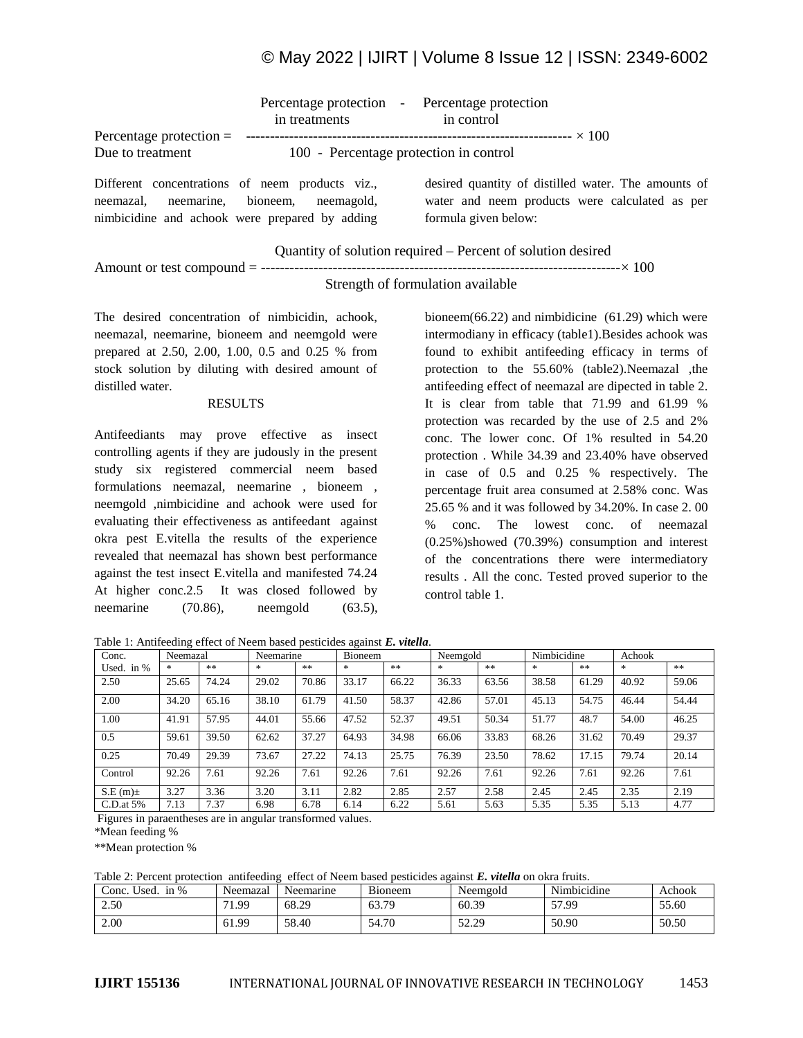# © May 2022 | IJIRT | Volume 8 Issue 12 | ISSN: 2349-6002

| Percentage protection $=$                                                       | Percentage protection - Percentage protection<br>in treatments | in control                                                             |
|---------------------------------------------------------------------------------|----------------------------------------------------------------|------------------------------------------------------------------------|
| Due to treatment                                                                | 100 - Percentage protection in control                         |                                                                        |
|                                                                                 |                                                                |                                                                        |
| Different concentrations of neem products viz.,                                 |                                                                | desired quantity of distilled water. The amounts of                    |
| neemazal, neemarine, bioneem,<br>nimbicidine and achook were prepared by adding | neemagold,                                                     | water and neem products were calculated as per<br>formula given below: |
|                                                                                 |                                                                |                                                                        |

Quantity of solution required – Percent of solution desired

Amount or test compound = ---------------------------------------------------------------------------× 100

# Strength of formulation available

The desired concentration of nimbicidin, achook, neemazal, neemarine, bioneem and neemgold were prepared at 2.50, 2.00, 1.00, 0.5 and 0.25 % from stock solution by diluting with desired amount of distilled water.

#### RESULTS

Antifeediants may prove effective as insect controlling agents if they are judously in the present study six registered commercial neem based formulations neemazal, neemarine , bioneem , neemgold ,nimbicidine and achook were used for evaluating their effectiveness as antifeedant against okra pest E.vitella the results of the experience revealed that neemazal has shown best performance against the test insect E.vitella and manifested 74.24 At higher conc.2.5 It was closed followed by neemarine (70.86), neemgold (63.5), bioneem(66.22) and nimbidicine (61.29) which were intermodiany in efficacy (table1).Besides achook was found to exhibit antifeeding efficacy in terms of protection to the 55.60% (table2).Neemazal ,the antifeeding effect of neemazal are dipected in table 2. It is clear from table that 71.99 and 61.99 % protection was recarded by the use of 2.5 and 2% conc. The lower conc. Of 1% resulted in 54.20 protection . While 34.39 and 23.40% have observed in case of 0.5 and 0.25 % respectively. The percentage fruit area consumed at 2.58% conc. Was 25.65 % and it was followed by 34.20%. In case 2. 00 % conc. The lowest conc. of neemazal (0.25%)showed (70.39%) consumption and interest of the concentrations there were intermediatory results . All the conc. Tested proved superior to the control table 1.

Table 1: Antifeeding effect of Neem based pesticides against *E. vitella*.

| Conc.        | Neemazal |       | Neemarine |       | Bioneem |       | Neemgold |       | Nimbicidine |       | Achook |       |
|--------------|----------|-------|-----------|-------|---------|-------|----------|-------|-------------|-------|--------|-------|
| Used. in $%$ |          | **    | $*$       | **    | $*$     | **    | *        | **    | *           | **    | *.     | $**$  |
| 2.50         | 25.65    | 74.24 | 29.02     | 70.86 | 33.17   | 66.22 | 36.33    | 63.56 | 38.58       | 61.29 | 40.92  | 59.06 |
| 2.00         | 34.20    | 65.16 | 38.10     | 61.79 | 41.50   | 58.37 | 42.86    | 57.01 | 45.13       | 54.75 | 46.44  | 54.44 |
| 1.00         | 41.91    | 57.95 | 44.01     | 55.66 | 47.52   | 52.37 | 49.51    | 50.34 | 51.77       | 48.7  | 54.00  | 46.25 |
| 0.5          | 59.61    | 39.50 | 62.62     | 37.27 | 64.93   | 34.98 | 66.06    | 33.83 | 68.26       | 31.62 | 70.49  | 29.37 |
| 0.25         | 70.49    | 29.39 | 73.67     | 27.22 | 74.13   | 25.75 | 76.39    | 23.50 | 78.62       | 17.15 | 79.74  | 20.14 |
| Control      | 92.26    | 7.61  | 92.26     | 7.61  | 92.26   | 7.61  | 92.26    | 7.61  | 92.26       | 7.61  | 92.26  | 7.61  |
| $S.E(m)$ ±   | 3.27     | 3.36  | 3.20      | 3.11  | 2.82    | 2.85  | 2.57     | 2.58  | 2.45        | 2.45  | 2.35   | 2.19  |
| $C.D.$ at 5% | 7.13     | 7.37  | 6.98      | 6.78  | 6.14    | 6.22  | 5.61     | 5.63  | 5.35        | 5.35  | 5.13   | 4.77  |

Figures in paraentheses are in angular transformed values.

\*Mean feeding %

\*\*Mean protection %

Table 2: Percent protection antifeeding effect of Neem based pesticides against *E. vitella* on okra fruits.

| Used.<br>in $%$<br>Conc. | Neemazal | Neemarine | D <sup>'</sup><br>B <sub>10</sub> neem | Neemgold | .<br>$\mathbf{v}$<br>Nimbicidine | Achook |
|--------------------------|----------|-----------|----------------------------------------|----------|----------------------------------|--------|
| 2.50                     | 1.99     | 68.29     | . 70<br>63.7                           | 60.39    | 57.99                            | 55.60  |
| 2.00                     | 61.99    | 58.40     | .7c<br>54.7U                           | 52.29    | 50.90                            | 50.50  |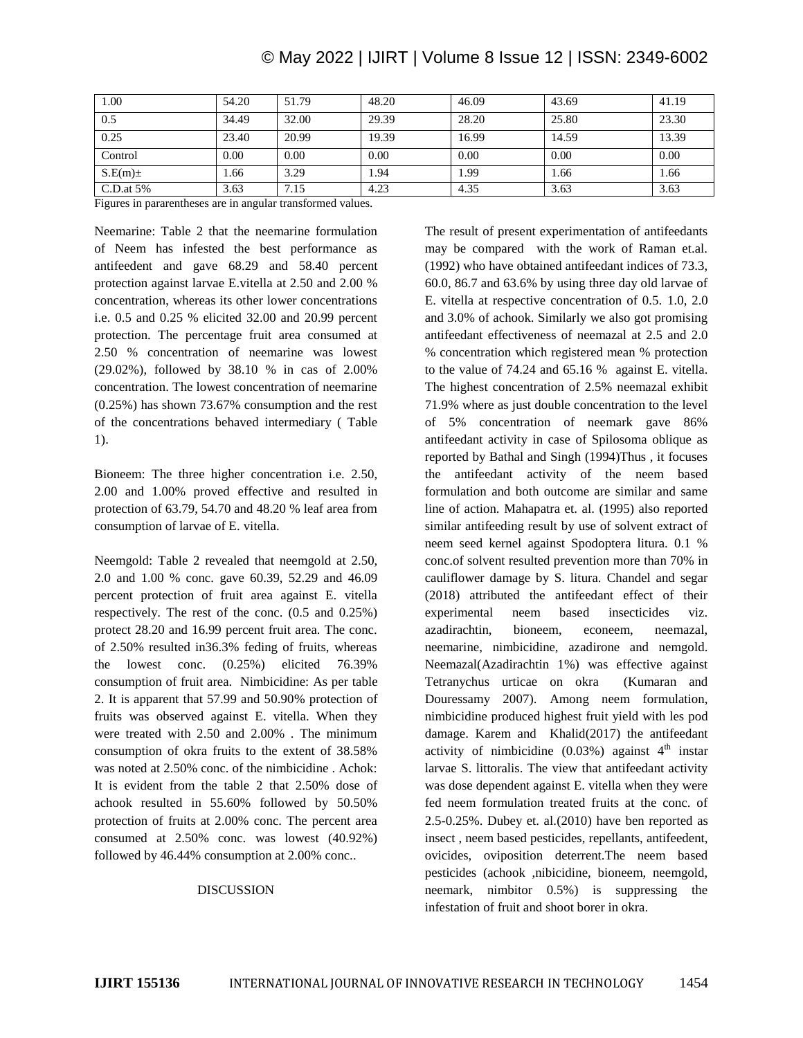| 1.00         | 54.20 | 51.79 | 48.20 | 46.09 | 43.69 | 41.19 |
|--------------|-------|-------|-------|-------|-------|-------|
| 0.5          | 34.49 | 32.00 | 29.39 | 28.20 | 25.80 | 23.30 |
| 0.25         | 23.40 | 20.99 | 19.39 | 16.99 | 14.59 | 13.39 |
| Control      | 0.00  | 0.00  | 0.00  | 0.00  | 0.00  | 0.00  |
| $S.E(m)$ ±   | 1.66  | 3.29  | 1.94  | 1.99  | 1.66  | 1.66  |
| $C.D.$ at 5% | 3.63  | 7.15  | 4.23  | 4.35  | 3.63  | 3.63  |

Figures in pararentheses are in angular transformed values.

Neemarine: Table 2 that the neemarine formulation of Neem has infested the best performance as antifeedent and gave 68.29 and 58.40 percent protection against larvae E.vitella at 2.50 and 2.00 % concentration, whereas its other lower concentrations i.e. 0.5 and 0.25 % elicited 32.00 and 20.99 percent protection. The percentage fruit area consumed at 2.50 % concentration of neemarine was lowest (29.02%), followed by 38.10 % in cas of 2.00% concentration. The lowest concentration of neemarine (0.25%) has shown 73.67% consumption and the rest of the concentrations behaved intermediary ( Table 1).

Bioneem: The three higher concentration i.e. 2.50, 2.00 and 1.00% proved effective and resulted in protection of 63.79, 54.70 and 48.20 % leaf area from consumption of larvae of E. vitella.

Neemgold: Table 2 revealed that neemgold at 2.50, 2.0 and 1.00 % conc. gave 60.39, 52.29 and 46.09 percent protection of fruit area against E. vitella respectively. The rest of the conc. (0.5 and 0.25%) protect 28.20 and 16.99 percent fruit area. The conc. of 2.50% resulted in36.3% feding of fruits, whereas the lowest conc. (0.25%) elicited 76.39% consumption of fruit area. Nimbicidine: As per table 2. It is apparent that 57.99 and 50.90% protection of fruits was observed against E. vitella. When they were treated with 2.50 and 2.00% . The minimum consumption of okra fruits to the extent of 38.58% was noted at 2.50% conc. of the nimbicidine . Achok: It is evident from the table 2 that 2.50% dose of achook resulted in 55.60% followed by 50.50% protection of fruits at 2.00% conc. The percent area consumed at 2.50% conc. was lowest (40.92%) followed by 46.44% consumption at 2.00% conc..

### DISCUSSION

The result of present experimentation of antifeedants may be compared with the work of Raman et.al. (1992) who have obtained antifeedant indices of 73.3, 60.0, 86.7 and 63.6% by using three day old larvae of E. vitella at respective concentration of 0.5. 1.0, 2.0 and 3.0% of achook. Similarly we also got promising antifeedant effectiveness of neemazal at 2.5 and 2.0 % concentration which registered mean % protection to the value of 74.24 and 65.16 % against E. vitella. The highest concentration of 2.5% neemazal exhibit 71.9% where as just double concentration to the level of 5% concentration of neemark gave 86% antifeedant activity in case of Spilosoma oblique as reported by Bathal and Singh (1994)Thus , it focuses the antifeedant activity of the neem based formulation and both outcome are similar and same line of action. Mahapatra et. al. (1995) also reported similar antifeeding result by use of solvent extract of neem seed kernel against Spodoptera litura. 0.1 % conc.of solvent resulted prevention more than 70% in cauliflower damage by S. litura. Chandel and segar (2018) attributed the antifeedant effect of their experimental neem based insecticides viz. azadirachtin, bioneem, econeem, neemazal, neemarine, nimbicidine, azadirone and nemgold. Neemazal(Azadirachtin 1%) was effective against Tetranychus urticae on okra (Kumaran and Douressamy 2007). Among neem formulation, nimbicidine produced highest fruit yield with les pod damage. Karem and Khalid(2017) the antifeedant activity of nimbicidine  $(0.03\%)$  against  $4<sup>th</sup>$  instar larvae S. littoralis. The view that antifeedant activity was dose dependent against E. vitella when they were fed neem formulation treated fruits at the conc. of 2.5-0.25%. Dubey et. al.(2010) have ben reported as insect , neem based pesticides, repellants, antifeedent, ovicides, oviposition deterrent.The neem based pesticides (achook ,nibicidine, bioneem, neemgold, neemark, nimbitor 0.5%) is suppressing the infestation of fruit and shoot borer in okra.